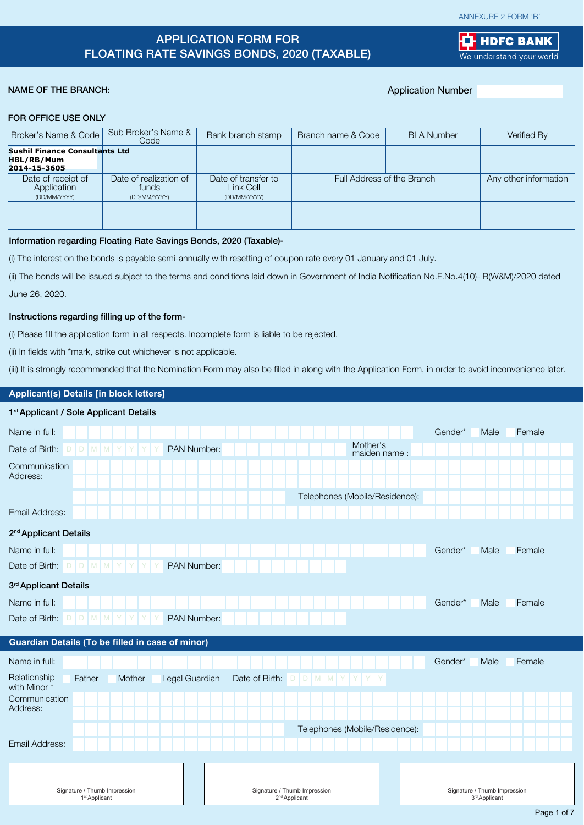#### ANNEXURE 2 FORM 'B'

**LE** HDFC BANK We understand your world

# APPLICATION FORM FOR FLOATING RATE SAVINGS BONDS, 2020 (TAXABLE)

#### NAME OF THE BRANCH:

Application Number

#### FOR OFFICE USE ONLY

| Broker's Name & Code                                                | Sub Broker's Name &<br>Code                     | Bank branch stamp                                | Branch name & Code         | <b>BLA Number</b> | Verified By           |
|---------------------------------------------------------------------|-------------------------------------------------|--------------------------------------------------|----------------------------|-------------------|-----------------------|
| <b>Sushil Finance Consultants Ltd</b><br>HBL/RB/Mum<br>2014-15-3605 |                                                 |                                                  |                            |                   |                       |
| Date of receipt of<br>Application<br>(DD/MM/YYYY)                   | Date of realization of<br>funds<br>(DD/MM/YYYY) | Date of transfer to<br>Link Cell<br>(DD/MM/YYYY) | Full Address of the Branch |                   | Any other information |
|                                                                     |                                                 |                                                  |                            |                   |                       |

#### Information regarding Floating Rate Savings Bonds, 2020 (Taxable)-

(i) The interest on the bonds is payable semi-annually with resetting of coupon rate every 01 January and 01 July.

(ii) The bonds will be issued subject to the terms and conditions laid down in Government of India Notification No.F.No.4(10)- B(W&M)/2020 dated

June 26, 2020.

# Instructions regarding filling up of the form-

(i) Please fill the application form in all respects. Incomplete form is liable to be rejected.

(ii) In fields with \*mark, strike out whichever is not applicable.

(iii) It is strongly recommended that the Nomination Form may also be filled in along with the Application Form, in order to avoid inconvenience later.

# **Applicant(s) Details [in block letters]**

| 1 <sup>st</sup> Applicant / Sole Applicant Details                 |                                                           |                                                           |
|--------------------------------------------------------------------|-----------------------------------------------------------|-----------------------------------------------------------|
| Name in full:                                                      |                                                           | Gender*<br>Male<br>Female                                 |
| PAN Number:<br>Date of Birth:<br>D<br>M                            | Mother's                                                  | maiden name:                                              |
| Communication<br>Address:                                          |                                                           |                                                           |
|                                                                    | Telephones (Mobile/Residence):                            |                                                           |
| Email Address:                                                     |                                                           |                                                           |
| 2 <sup>nd</sup> Applicant Details                                  |                                                           |                                                           |
| Name in full:                                                      |                                                           | Female<br>Gender*<br>Male                                 |
| D   D   M   M   Y<br>PAN Number:<br>Date of Birth:<br>Y            |                                                           |                                                           |
| 3rd Applicant Details                                              |                                                           |                                                           |
| Name in full:                                                      |                                                           | Female<br>Gender*<br>Male                                 |
| $D   D   M   M   Y   Y  $<br>Date of Birth:<br>PAN Number:         |                                                           |                                                           |
| Guardian Details (To be filled in case of minor)                   |                                                           |                                                           |
| Name in full:                                                      |                                                           | Gender*<br>Male<br>Female                                 |
| Relationship<br>Legal Guardian<br>Father<br>Mother<br>with Minor * | Date of Birth: $D   D   M   M   Y   Y$<br> Y              | Y                                                         |
| Communication                                                      |                                                           |                                                           |
| Address:                                                           |                                                           |                                                           |
|                                                                    | Telephones (Mobile/Residence):                            |                                                           |
| Email Address:                                                     |                                                           |                                                           |
|                                                                    |                                                           |                                                           |
| Signature / Thumb Impression<br>1 <sup>st</sup> Applicant          | Signature / Thumb Impression<br>2 <sup>nd</sup> Applicant | Signature / Thumb Impression<br>3 <sup>rd</sup> Applicant |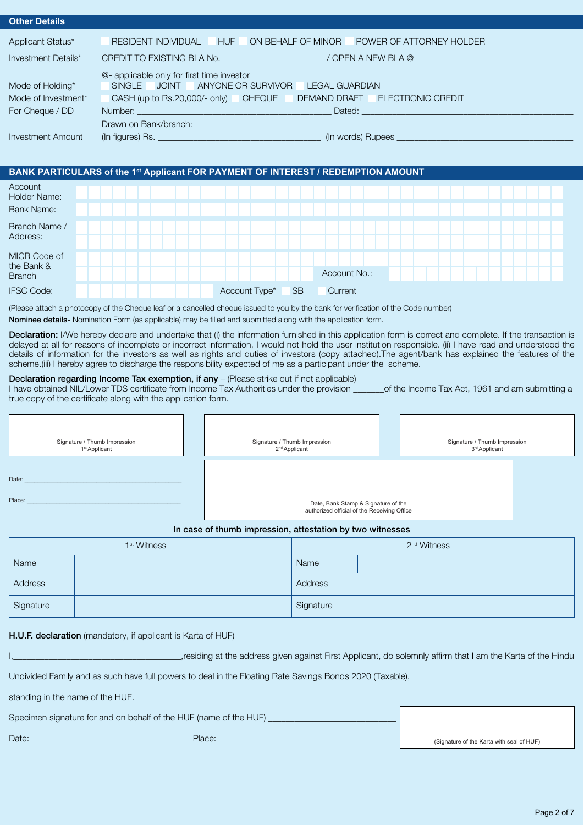| <b>Other Details</b>     |                                                                           |  |  |  |  |  |
|--------------------------|---------------------------------------------------------------------------|--|--|--|--|--|
| Applicant Status*        | RESIDENT INDIVIDUAL HUF<br>ON BEHALF OF MINOR<br>POWER OF ATTORNEY HOLDER |  |  |  |  |  |
| Investment Details*      | CREDIT TO EXISTING BLA No. (2008) 2012 12:00 TOPEN A NEW BLA @            |  |  |  |  |  |
|                          | @- applicable only for first time investor                                |  |  |  |  |  |
| Mode of Holding*         | SINGLE JOINT ANYONE OR SURVIVOR LEGAL GUARDIAN                            |  |  |  |  |  |
| Mode of Investment*      | CASH (up to Rs.20,000/- only) CHEQUE<br>DEMAND DRAFT ELECTRONIC CREDIT    |  |  |  |  |  |
| For Cheque / DD          |                                                                           |  |  |  |  |  |
|                          |                                                                           |  |  |  |  |  |
| <b>Investment Amount</b> |                                                                           |  |  |  |  |  |
|                          |                                                                           |  |  |  |  |  |

| BANK PARTICULARS of the 1st Applicant FOR PAYMENT OF INTEREST / REDEMPTION AMOUNT |  |  |  |               |           |              |  |  |  |  |  |  |
|-----------------------------------------------------------------------------------|--|--|--|---------------|-----------|--------------|--|--|--|--|--|--|
| Account<br>Holder Name:                                                           |  |  |  |               |           |              |  |  |  |  |  |  |
| <b>Bank Name:</b>                                                                 |  |  |  |               |           |              |  |  |  |  |  |  |
| Branch Name /                                                                     |  |  |  |               |           |              |  |  |  |  |  |  |
| Address:                                                                          |  |  |  |               |           |              |  |  |  |  |  |  |
| MICR Code of                                                                      |  |  |  |               |           |              |  |  |  |  |  |  |
| the Bank &<br><b>Branch</b>                                                       |  |  |  |               |           | Account No.: |  |  |  |  |  |  |
| <b>IFSC Code:</b>                                                                 |  |  |  | Account Type* | <b>SB</b> | Current      |  |  |  |  |  |  |

(Please attach a photocopy of the Cheque leaf or a cancelled cheque issued to you by the bank for verification of the Code number) Nominee details- Nomination Form (as applicable) may be filled and submitted along with the application form.

Declaration: I/We hereby declare and undertake that (i) the information furnished in this application form is correct and complete. If the transaction is delayed at all for reasons of incomplete or incorrect information, I would not hold the user institution responsible. (ii) I have read and understood the details of information for the investors as well as rights and duties of investors (copy attached).The agent/bank has explained the features of the scheme.(iii) I hereby agree to discharge the responsibility expected of me as a participant under the scheme.

#### Declaration regarding Income Tax exemption, if any - (Please strike out if not applicable)

I have obtained NIL/Lower TDS certificate from Income Tax Authorities under the provision \_\_\_\_\_\_\_of the Income Tax Act, 1961 and am submitting a true copy of the certificate along with the application form.

| Signature / Thumb Impression<br>1 <sup>st</sup> Applicant | Signature / Thumb Impression<br>2 <sup>nd</sup> Applicant                          | Signature / Thumb Impression<br>3 <sup>rd</sup> Applicant |
|-----------------------------------------------------------|------------------------------------------------------------------------------------|-----------------------------------------------------------|
| Date:                                                     |                                                                                    |                                                           |
| Place:                                                    | Date, Bank Stamp & Signature of the<br>authorized official of the Receiving Office |                                                           |

### In case of thumb impression, attestation by two witnesses

|           | 1 <sup>st</sup> Witness | 2 <sup>nd</sup> Witness |  |  |  |  |
|-----------|-------------------------|-------------------------|--|--|--|--|
| Name      |                         | Name                    |  |  |  |  |
| Address   |                         | Address                 |  |  |  |  |
| Signature |                         | Signature               |  |  |  |  |

#### H.U.F. declaration (mandatory, if applicant is Karta of HUF)

Iresiding at the address given against First Applicant, do solemnly affirm that I am the Karta of the Hindu

Undivided Family and as such have full powers to deal in the Floating Rate Savings Bonds 2020 (Taxable),

standing in the name of the HUF.

| Specimen signature for and on behalf of the HUF (name of the HUF) |        |                                           |
|-------------------------------------------------------------------|--------|-------------------------------------------|
| Date:                                                             | Place: | (Signature of the Karta with seal of HUF) |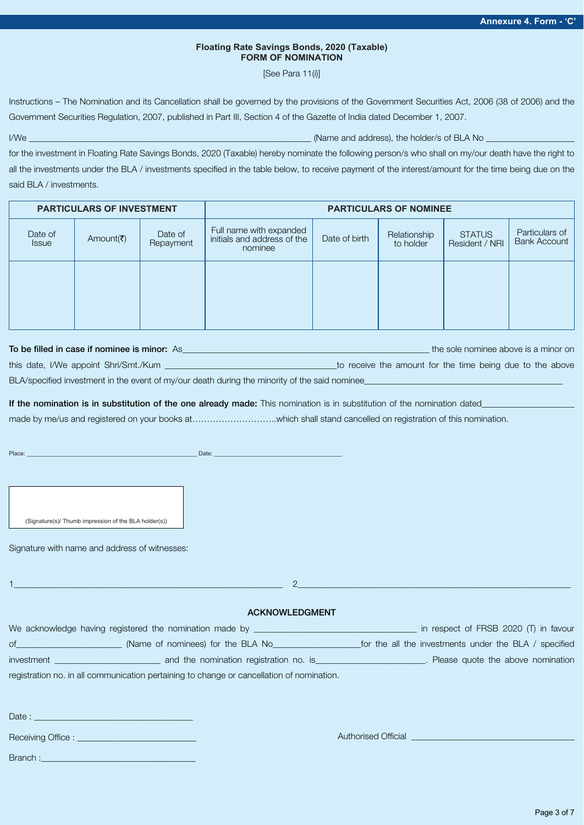#### **Floating Rate Savings Bonds, 2020 (Taxable) FORM OF NOMINATION**

[See Para 11(i)]

Instructions – The Nomination and its Cancellation shall be governed by the provisions of the Government Securities Act, 2006 (38 of 2006) and the Government Securities Regulation, 2007, published in Part III, Section 4 of the Gazette of India dated December 1, 2007.

I/We \_\_\_\_\_\_\_\_\_\_\_\_\_\_\_\_\_\_\_\_\_\_\_\_\_\_\_\_\_\_\_\_\_\_\_\_\_\_\_\_\_\_\_\_\_\_\_\_\_\_\_\_\_\_\_\_\_\_\_\_\_\_\_\_ (Name and address), the holder/s of BLA No \_\_\_\_\_\_\_\_\_\_\_\_\_\_\_\_\_\_\_\_

for the investment in Floating Rate Savings Bonds, 2020 (Taxable) hereby nominate the following person/s who shall on my/our death have the right to all the investments under the BLA / investments specified in the table below, to receive payment of the interest/amount for the time being due on the said BLA / investments.

|                                                                                       | <b>PARTICULARS OF INVESTMENT</b> |  | <b>PARTICULARS OF NOMINEE</b>                                     |               |                           |                                 |                                |  |  |
|---------------------------------------------------------------------------------------|----------------------------------|--|-------------------------------------------------------------------|---------------|---------------------------|---------------------------------|--------------------------------|--|--|
| Date of<br>Date of<br>Amount( $\bar{\bar{\mathbf{z}}}$ )<br>Repayment<br><b>Issue</b> |                                  |  | Full name with expanded<br>initials and address of the<br>nominee | Date of birth | Relationship<br>to holder | <b>STATUS</b><br>Resident / NRI | Particulars of<br>Bank Account |  |  |
|                                                                                       |                                  |  |                                                                   |               |                           |                                 |                                |  |  |

| To be filled in case if nominee is minor: As                                                  |                                                           |  | the sole nominee above is a minor on |  |  |
|-----------------------------------------------------------------------------------------------|-----------------------------------------------------------|--|--------------------------------------|--|--|
| this date, I/We appoint Shri/Smt./Kum                                                         | to receive the amount for the time being due to the above |  |                                      |  |  |
| BLA/specified investment in the event of my/our death during the minority of the said nominee |                                                           |  |                                      |  |  |

If the nomination is in substitution of the one already made: This nomination is in substitution of the nomination dated

made by me/us and registered on your books at………………………..which shall stand cancelled on registration of this nomination.

Place: \_\_\_\_\_\_\_\_\_\_\_\_\_\_\_\_\_\_\_\_\_\_\_\_\_\_\_\_\_\_\_\_\_\_\_\_\_\_\_\_\_\_\_\_\_\_\_\_\_\_\_\_ Date: \_\_\_\_\_\_\_\_\_\_\_\_\_\_\_\_\_\_\_\_\_\_\_\_\_\_\_\_\_\_\_\_\_\_\_\_\_\_\_

(Signature(s)/ Thumb impression of the BLA holder(s))

Signature with name and address of witnesses:

Branch :

We acknowledge having registered the nomination made by \_\_\_\_\_\_\_\_\_\_\_\_\_\_\_\_\_\_\_\_\_\_\_\_\_\_\_\_\_\_\_\_\_\_\_\_\_ in respect of FRSB 2020 (T) in favour of\_\_\_\_\_\_\_\_\_\_\_\_\_\_\_\_\_\_\_\_\_\_\_\_ (Name of nominees) for the BLA No\_\_\_\_\_\_\_\_\_\_\_\_\_\_\_\_\_\_\_\_for the all the investments under the BLA / specified investment \_\_\_\_\_\_\_\_\_\_\_\_\_\_\_\_\_\_\_\_\_\_\_\_ and the nomination registration no. is\_\_\_\_\_\_\_\_\_\_\_\_\_\_\_\_\_\_\_\_\_\_\_\_\_. Please quote the above nomination registration no. in all communication pertaining to change or cancellation of nomination. Date :  $\Box$ Receiving Office : \_ 1\_\_\_\_\_\_\_\_\_\_\_\_\_\_\_\_\_\_\_\_\_\_\_\_\_\_\_\_\_\_\_\_\_\_\_\_\_\_\_\_\_\_\_\_\_\_\_\_\_\_\_\_\_\_\_\_\_\_\_\_\_ 2\_\_\_\_\_\_\_\_\_\_\_\_\_\_\_\_\_\_\_\_\_\_\_\_\_\_\_\_\_\_\_\_\_\_\_\_\_\_\_\_\_\_\_\_\_\_\_\_\_\_\_\_\_\_\_\_\_\_\_\_\_\_ ACKNOWLEDGMENT Authorised Official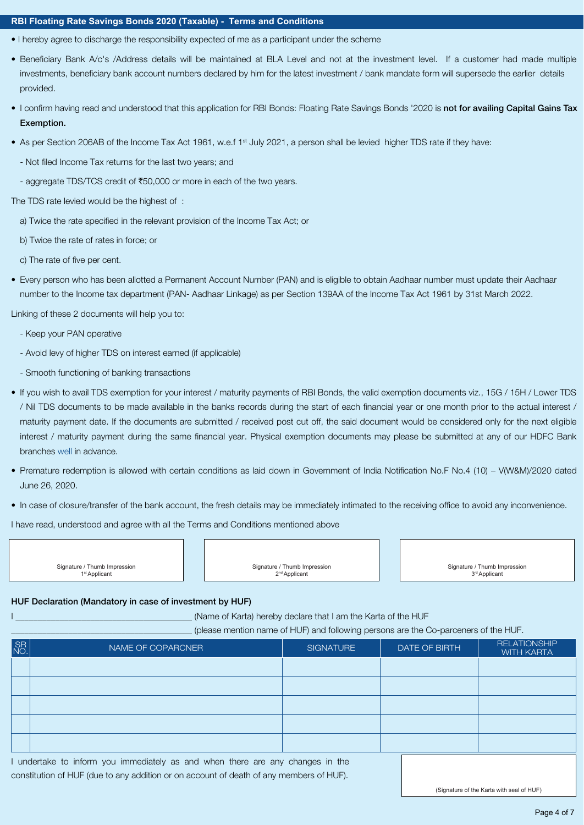#### **RBI Floating Rate Savings Bonds 2020 (Taxable) - Terms and Conditions**

- I hereby agree to discharge the responsibility expected of me as a participant under the scheme
- Beneficiary Bank A/c's /Address details will be maintained at BLA Level and not at the investment level. If a customer had made multiple investments, beneficiary bank account numbers declared by him for the latest investment / bank mandate form will supersede the earlier details provided.
- I confirm having read and understood that this application for RBI Bonds: Floating Rate Savings Bonds '2020 is not for availing Capital Gains Tax Exemption.
- As per Section 206AB of the Income Tax Act 1961, w.e.f 1<sup>st</sup> July 2021, a person shall be levied higher TDS rate if they have:
	- Not filed Income Tax returns for the last two years; and
	- aggregate TDS/TCS credit of ₹50,000 or more in each of the two years.

The TDS rate levied would be the highest of :

- a) Twice the rate specified in the relevant provision of the Income Tax Act; or
- b) Twice the rate of rates in force; or
- c) The rate of five per cent.
- Every person who has been allotted a Permanent Account Number (PAN) and is eligible to obtain Aadhaar number must update their Aadhaar number to the Income tax department (PAN- Aadhaar Linkage) as per Section 139AA of the Income Tax Act 1961 by 31st March 2022.

Linking of these 2 documents will help you to:

- Keep your PAN operative
- Avoid levy of higher TDS on interest earned (if applicable)
- Smooth functioning of banking transactions
- If you wish to avail TDS exemption for your interest / maturity payments of RBI Bonds, the valid exemption documents viz., 15G / 15H / Lower TDS / Nil TDS documents to be made available in the banks records during the start of each financial year or one month prior to the actual interest / maturity payment date. If the documents are submitted / received post cut off, the said document would be considered only for the next eligible interest / maturity payment during the same financial year. Physical exemption documents may please be submitted at any of our HDFC Bank branches well in advance.
- Premature redemption is allowed with certain conditions as laid down in Government of India Notification No.F No.4 (10) V(W&M)/2020 dated June 26, 2020.
- In case of closure/transfer of the bank account, the fresh details may be immediately intimated to the receiving office to avoid any inconvenience.

I have read, understood and agree with all the Terms and Conditions mentioned above

Signature / Thumb Impression 1st Applicant

Signature / Thumb Impression 2nd Applicant

Signature / Thumb Impression 3rd Applicant

#### HUF Declaration (Mandatory in case of investment by HUF)

(Name of Karta) hereby declare that I am the Karta of the HUF

\_\_\_\_\_\_\_\_\_\_\_\_\_\_\_\_\_\_\_\_\_\_\_\_\_\_\_\_\_\_\_\_\_\_\_\_\_\_\_\_\_ (please mention name of HUF) and following persons are the Co-parceners of the HUF.

| SR <sub>NO</sub> | NAME OF COPARCNER | <b>SIGNATURE</b> | DATE OF BIRTH | <b>RELATIONSHIP</b><br><b>WITH KARTA</b> |
|------------------|-------------------|------------------|---------------|------------------------------------------|
|                  |                   |                  |               |                                          |
|                  |                   |                  |               |                                          |
|                  |                   |                  |               |                                          |
|                  |                   |                  |               |                                          |
|                  |                   |                  |               |                                          |

I undertake to inform you immediately as and when there are any changes in the constitution of HUF (due to any addition or on account of death of any members of HUF).

(Signature of the Karta with seal of HUF)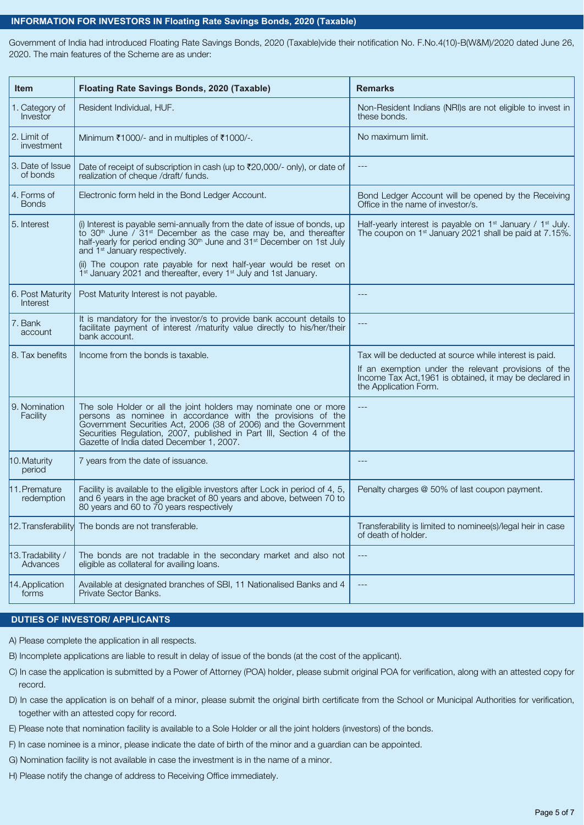#### **INFORMATION FOR INVESTORS IN Floating Rate Savings Bonds, 2020 (Taxable)**

Government of India had introduced Floating Rate Savings Bonds, 2020 (Taxable)vide their notification No. F.No.4(10)-B(W&M)/2020 dated June 26, 2020. The main features of the Scheme are as under:

| <b>Item</b>                   | Floating Rate Savings Bonds, 2020 (Taxable)                                                                                                                                                                                                                                                                             | <b>Remarks</b>                                                                                                                           |
|-------------------------------|-------------------------------------------------------------------------------------------------------------------------------------------------------------------------------------------------------------------------------------------------------------------------------------------------------------------------|------------------------------------------------------------------------------------------------------------------------------------------|
| 1. Category of<br>Investor    | Resident Individual, HUF.                                                                                                                                                                                                                                                                                               | Non-Resident Indians (NRI)s are not eligible to invest in<br>these bonds.                                                                |
| 2. Limit of<br>investment     | Minimum ₹1000/- and in multiples of ₹1000/-.                                                                                                                                                                                                                                                                            | No maximum limit.                                                                                                                        |
| 3. Date of Issue<br>of bonds  | Date of receipt of subscription in cash (up to ₹20,000/- only), or date of<br>realization of cheque /draft/ funds.                                                                                                                                                                                                      |                                                                                                                                          |
| 4. Forms of<br><b>Bonds</b>   | Electronic form held in the Bond Ledger Account.                                                                                                                                                                                                                                                                        | Bond Ledger Account will be opened by the Receiving<br>Office in the name of investor/s.                                                 |
| 5. Interest                   | (i) Interest is payable semi-annually from the date of issue of bonds, up<br>to 30 <sup>th</sup> June / 31 <sup>st</sup> December as the case may be, and thereafter<br>half-yearly for period ending 30 <sup>th</sup> June and 31 <sup>st</sup> December on 1st July<br>and 1 <sup>st</sup> January respectively.      | Half-yearly interest is payable on $1st$ January / $1st$ July.<br>The coupon on 1 <sup>st</sup> January 2021 shall be paid at 7.15%.     |
|                               | (ii) The coupon rate payable for next half-year would be reset on $1st$ January 2021 and thereafter, every $1st$ July and 1st January.                                                                                                                                                                                  |                                                                                                                                          |
| 6. Post Maturity<br>Interest  | Post Maturity Interest is not payable.                                                                                                                                                                                                                                                                                  | $---$                                                                                                                                    |
| 7. Bank<br>account            | It is mandatory for the investor/s to provide bank account details to<br>facilitate payment of interest /maturity value directly to his/her/their<br>bank account.                                                                                                                                                      | $---$                                                                                                                                    |
| 8. Tax benefits               | Income from the bonds is taxable.                                                                                                                                                                                                                                                                                       | Tax will be deducted at source while interest is paid.                                                                                   |
|                               |                                                                                                                                                                                                                                                                                                                         | If an exemption under the relevant provisions of the<br>Income Tax Act, 1961 is obtained, it may be declared in<br>the Application Form. |
| 9. Nomination<br>Facility     | The sole Holder or all the joint holders may nominate one or more<br>persons as nominee in accordance with the provisions of the<br>Government Securities Act, 2006 (38 of 2006) and the Government<br>Securities Regulation, 2007, published in Part III, Section 4 of the<br>Gazette of India dated December 1, 2007. | $---$                                                                                                                                    |
| 10. Maturity<br>period        | 7 years from the date of issuance.                                                                                                                                                                                                                                                                                      | $---$                                                                                                                                    |
| 11. Premature<br>redemption   | Facility is available to the eligible investors after Lock in period of 4, 5,<br>and 6 years in the age bracket of 80 years and above, between 70 to<br>80 years and 60 to 70 years respectively                                                                                                                        | Penalty charges @ 50% of last coupon payment.                                                                                            |
| 12. Transferability           | The bonds are not transferable.                                                                                                                                                                                                                                                                                         | Transferability is limited to nominee(s)/legal heir in case<br>of death of holder.                                                       |
| 13. Tradability /<br>Advances | The bonds are not tradable in the secondary market and also not<br>eligible as collateral for availing loans.                                                                                                                                                                                                           | $---$                                                                                                                                    |
| 14. Application<br>forms      | Available at designated branches of SBI, 11 Nationalised Banks and 4<br>Private Sector Banks.                                                                                                                                                                                                                           | $---$                                                                                                                                    |

# **DUTIES OF INVESTOR/ APPLICANTS**

A) Please complete the application in all respects.

- B) Incomplete applications are liable to result in delay of issue of the bonds (at the cost of the applicant).
- C) In case the application is submitted by a Power of Attorney (POA) holder, please submit original POA for verification, along with an attested copy for record.
- D) In case the application is on behalf of a minor, please submit the original birth certificate from the School or Municipal Authorities for verification, together with an attested copy for record.
- E) Please note that nomination facility is available to a Sole Holder or all the joint holders (investors) of the bonds.
- F) In case nominee is a minor, please indicate the date of birth of the minor and a guardian can be appointed.
- G) Nomination facility is not available in case the investment is in the name of a minor.
- H) Please notify the change of address to Receiving Office immediately.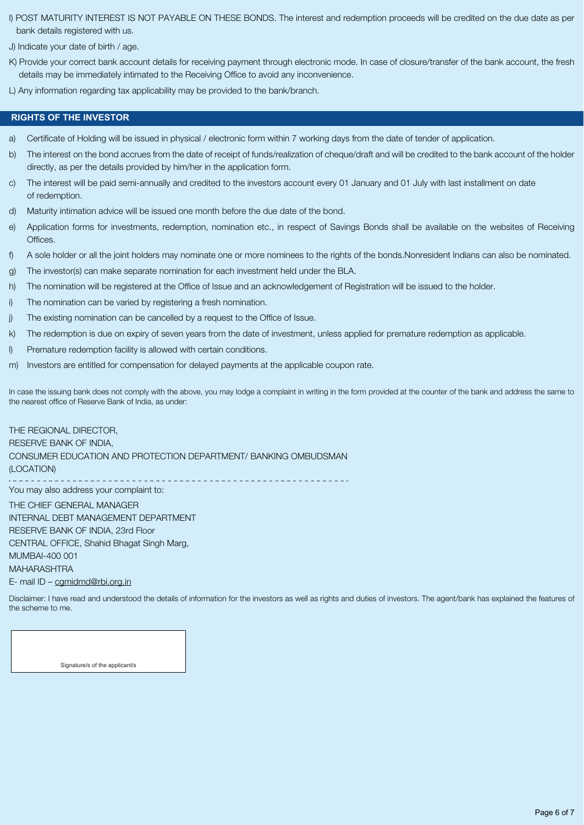I) POST MATURITY INTEREST IS NOT PAYABLE ON THESE BONDS. The interest and redemption proceeds will be credited on the due date as per bank details registered with us.

J) Indicate your date of birth / age.

- K) Provide your correct bank account details for receiving payment through electronic mode. In case of closure/transfer of the bank account, the fresh details may be immediately intimated to the Receiving Office to avoid any inconvenience.
- L) Any information regarding tax applicability may be provided to the bank/branch.

#### **RIGHTS OF THE INVESTOR**

- a) Certificate of Holding will be issued in physical / electronic form within 7 working days from the date of tender of application.
- b) The interest on the bond accrues from the date of receipt of funds/realization of cheque/draft and will be credited to the bank account of the holder directly, as per the details provided by him/her in the application form.
- c) The interest will be paid semi-annually and credited to the investors account every 01 January and 01 July with last installment on date of redemption.
- d) Maturity intimation advice will be issued one month before the due date of the bond.
- e) Application forms for investments, redemption, nomination etc., in respect of Savings Bonds shall be available on the websites of Receiving Offices.
- f) A sole holder or all the joint holders may nominate one or more nominees to the rights of the bonds.Nonresident Indians can also be nominated.
- g) The investor(s) can make separate nomination for each investment held under the BLA.
- h) The nomination will be registered at the Office of Issue and an acknowledgement of Registration will be issued to the holder.
- i) The nomination can be varied by registering a fresh nomination.
- j) The existing nomination can be cancelled by a request to the Office of Issue.
- k) The redemption is due on expiry of seven years from the date of investment, unless applied for premature redemption as applicable.
- l) Premature redemption facility is allowed with certain conditions.
- m) Investors are entitled for compensation for delayed payments at the applicable coupon rate.

In case the issuing bank does not comply with the above, you may lodge a complaint in writing in the form provided at the counter of the bank and address the same to the nearest office of Reserve Bank of India, as under:

THE REGIONAL DIRECTOR, RESERVE BANK OF INDIA, CONSUMER EDUCATION AND PROTECTION DEPARTMENT/ BANKING OMBUDSMAN (LOCATION) You may also address your complaint to: THE CHIEF GENERAL MANAGER INTERNAL DEBT MANAGEMENT DEPARTMENT RESERVE BANK OF INDIA, 23rd Floor CENTRAL OFFICE, Shahid Bhagat Singh Marg, MUMBAI-400 001 MAHARASHTRA

E- mail ID – cgmidmd@rbi.org.in

Disclaimer: I have read and understood the details of information for the investors as well as rights and duties of investors. The agent/bank has explained the features of the scheme to me.

Signature/s of the applicant/s